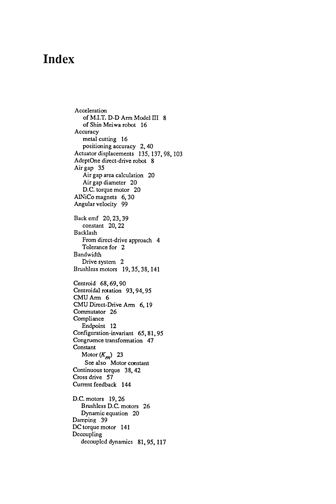## Index

of M.I.T.  $D$ - $D$  Arm Model III 8 From direct-drive approach 4 Tolerance for 2 Drive system 2 Brushless motors 19,35,38,141 81,95, 117 decouplcd dynamics Actuator displacements 135, 137, 98, 103 Damping 39 Acceleration of Shin Meiwa robot 16 Accuracy metal cutting 16 positioning accuracy 2, 40 AdeptOne direct-drive robot 8 Air gap 35 Air gap area calculation 20 Air gap diameter 20 D.C. torque motor 20 AlNiCo magnets 6, 30 Angular velocity 99 DC torque motor 141 Dccoupling Back emf 20, 23, 39 constant 20, 22 Backlash Bandwidth Centroid 68, 69, 90 Centroidal rotation 93, 94, 95 CMU Am 6 CMU Direct-Drive Arm 6, 19 Commutator 26 Compliance Endpoint 12 Configuration -invariant 65, 81, 95 Congruence transformation 47 **Constant** Motor  $(K_m)$  23 See also Motor constant Continuous torque 38, 42 Cross drive 57 Current feedback 144 D.C. motors 19, 26 Brushless D.C. motors 26 Dynamic equation 20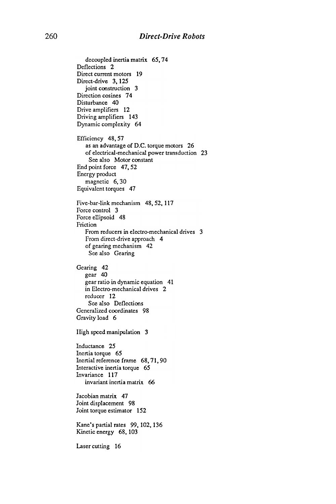decoupled inertia matrix 65, 74 Deflections 2 Direct current motors 19 Direct-drive 3, 125 joint construction 3 Direction cosines 74 Disturbance 40 Drive amplifiers 12 Driving amplifiers 143 Dynamic complexity 64 Efficiency 48, 57 as an advantage of D.C. torque motors 26 of electrical-mechanical power transduction 23 See also Motor constant End point force 47, 52 Encrgy product magnetic 6, 30 Equivalcnt torques 47 Five-bar-link mechanism 48, 52, 117 Force control 3 Force ellipsoid 48 Friction From reducers in electro-mechanical drives 3 From direct-drive approach 4 of gearing mechanism 42 See also Gearing Gearing 42 gear 40 gear ratio in dynamic equation 41 in Electro-mechanical drives 2 reducer 12 See also Deflections Generalized coordinates 98 Gravity load 6 I Iigh speed manipulation 3 Inductance 25 Inertia torque 65 Inertial reference frame 68, 71, 90 Interactive inertia torque 65 Invariance 117 invariant inertia matrix 66Jacobian matrix 47 Joint c Joint t 5 Kinct  $\cdot$  cutting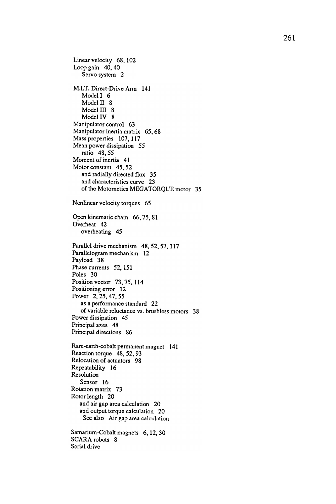Linear velocity 68, 102 Loop gain 40, 40 Servo system 2 M.I.T. Direct-Drive Arm 141 Model I 6 Model II 8  $Model III 8$ Model IV 8 Manipulator control 63 Manipulator inertia matrix 65, 68 Mass properties 107, 117 Mean power dissipation 55 ratio 48, 55 Moment of inertia 41 Motor constant 45, 52 and radially directed flux 35 and characteristics curve 23 of the Motometics MEGATORQUE motor 35 Nonlinear velocity torques 65 Open kinematic chain 66, 75, 81 Overheat 42 overheating 45 Parallel drive mechanism 48, 52, 57, 117 Parallelogram mechanism 12 Payload 38 Phase currents 52, 151 Poles 30 Position vector 73, 75, 114 Positioning error 12 Power 2, 25, 47, 55 as a performance standard 22 of variable reluctance vs . brushless motors 38 Power dissipation 45 Principal axes 48 Principal directions 86 Rare-earth-cobalt permanent magnet 141 Reaction torque 48, 52, 93 Relocation of actuators 98 Repeatability 16 Resolution Sensor 16 Rotation matrix 73 Rotor length 20 and air gap area calculation 20 and output torque calculation 20 See also Air gap area calculation Samarium-Cobalt magnets 6, 12, 30 SCARA robots 8 Serial drive